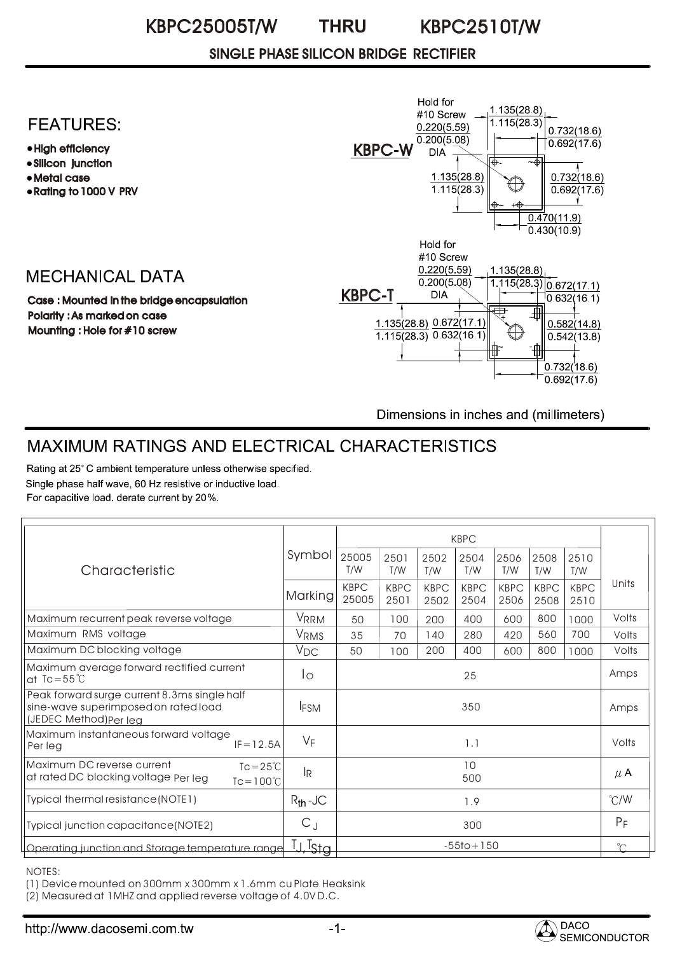#### KBPC25005T/W KBPC2510T/W **THRU**

### SINGLE PHASE SILICON BRIDGE RECTIFIER

### **FEATURES:**

- High efficiency
- Silicon junction
- Metal case
- Rating to 1000 V PRV

## **MECHANICAL DATA**

Case : Mounted in the bridge encapsulation Polarity : As marked on case Mounting : Hole for #10 screw



Dimensions in inches and (millimeters)

# MAXIMUM RATINGS AND ELECTRICAL CHARACTERISTICS

Rating at 25°C ambient temperature unless otherwise specified. Single phase half wave, 60 Hz resistive or inductive load. For capacitive load. derate current by 20%.

|                                                                                                                 | Symbol                    | <b>KBPC</b>          |                     |                     |                     |                     |                     |                     |               |
|-----------------------------------------------------------------------------------------------------------------|---------------------------|----------------------|---------------------|---------------------|---------------------|---------------------|---------------------|---------------------|---------------|
| Characteristic                                                                                                  |                           | 25005<br>T/W         | 2501<br>T/W         | 2502<br>T/W         | 2504<br>T/W         | 2506<br>T/W         | 2508<br>T/W         | 2510<br>T/W         |               |
|                                                                                                                 | Marking                   | <b>KBPC</b><br>25005 | <b>KBPC</b><br>2501 | <b>KBPC</b><br>2502 | <b>KBPC</b><br>2504 | <b>KBPC</b><br>2506 | <b>KBPC</b><br>2508 | <b>KBPC</b><br>2510 | Units         |
| Maximum recurrent peak reverse voltage                                                                          | VRRM                      | 50                   | 100                 | 200                 | 400                 | 600                 | 800                 | 1000                | Volts         |
| Maximum RMS voltage                                                                                             | Vrms                      | 35                   | 70                  | 140                 | 280                 | 420                 | 560                 | 700                 | Volts         |
| Maximum DC blocking voltage                                                                                     | V <sub>DC</sub>           | 50                   | 100                 | 200                 | 400                 | 600                 | 800                 | 1000                | Volts         |
| Maximum average forward rectified current<br>at $Tc = 55^{\circ}C$                                              | Ιo                        | 25                   |                     |                     |                     |                     |                     | Amps                |               |
| Peak forward surge current 8.3ms single half<br>sine-wave superimposed on rated load<br>(JEDEC Method) Per leg  | <b>IFSM</b>               | 350                  |                     |                     |                     |                     |                     |                     | Amps          |
| Maximum instantaneous forward voltage<br>$IF = 12.5A$<br>Per leg                                                | $V_F$                     | 1.1                  |                     |                     |                     |                     |                     |                     | Volts         |
| Maximum DC reverse current<br>$Tc = 25^{\circ}C$<br>at rated DC blocking voltage Per leg<br>$Tc = 100^{\circ}C$ | $\mathsf{I}_{\mathsf{R}}$ | 10<br>500            |                     |                     |                     |                     |                     |                     | $\mu$ A       |
| Typical thermal resistance (NOTE1)                                                                              | $R_{th}$ -JC              | 1.9                  |                     |                     |                     |                     |                     |                     | $\degree$ C/W |
| Typical junction capacitance (NOTE2)                                                                            | $C_{J}$                   | 300                  |                     |                     |                     |                     |                     |                     | $P_F$         |
| Operating junction and Storage temperature range                                                                | _<br><sup>T</sup> Stg     | $-55$ to + 150       |                     |                     |                     |                     |                     |                     | $\gamma$      |

NOTES:

(1) Device mounted on 300mm x 300mm x 1.6mm cu Plate Heaksink

(2) Measured at 1MHZ and applied reverse voltage of 4.0V D.C.

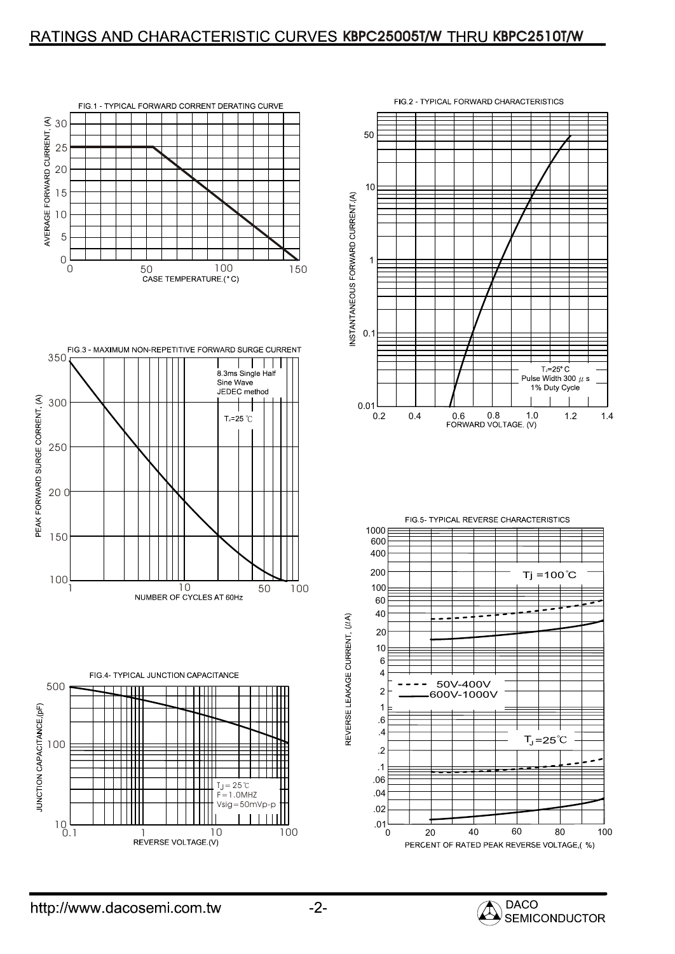### RATINGS AND CHARACTERISTIC CURVES KBPC25005T/W THRU KBPC2510T/W













**SEMICONDUCTOR** 

REVERSE LEAKAGE CURRENT, (J/A)